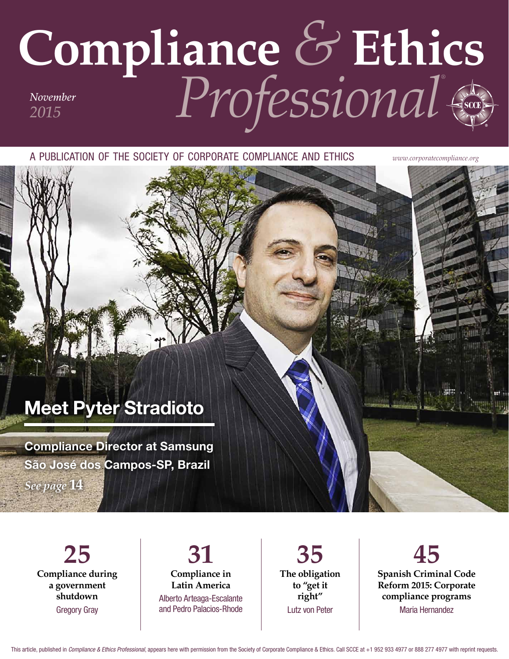## **Compliance** *&* **Ethics** *Professional® November 2015*

a publication of the society of corporate compliance and ethics *www.corporatecompliance.org*

## Meet Pyter Stradioto

Compliance Director at Samsung São José dos Campos-SP, Brazil

*See page* **14**

**25 Compliance during a government shutdown** Gregory Gray

**31 Compliance in Latin America** Alberto Arteaga-Escalante and Pedro Palacios-Rhode

**35 The obligation to "get it right"** Lutz von Peter

**45 Spanish Criminal Code Reform 2015: Corporate compliance programs** Maria Hernandez